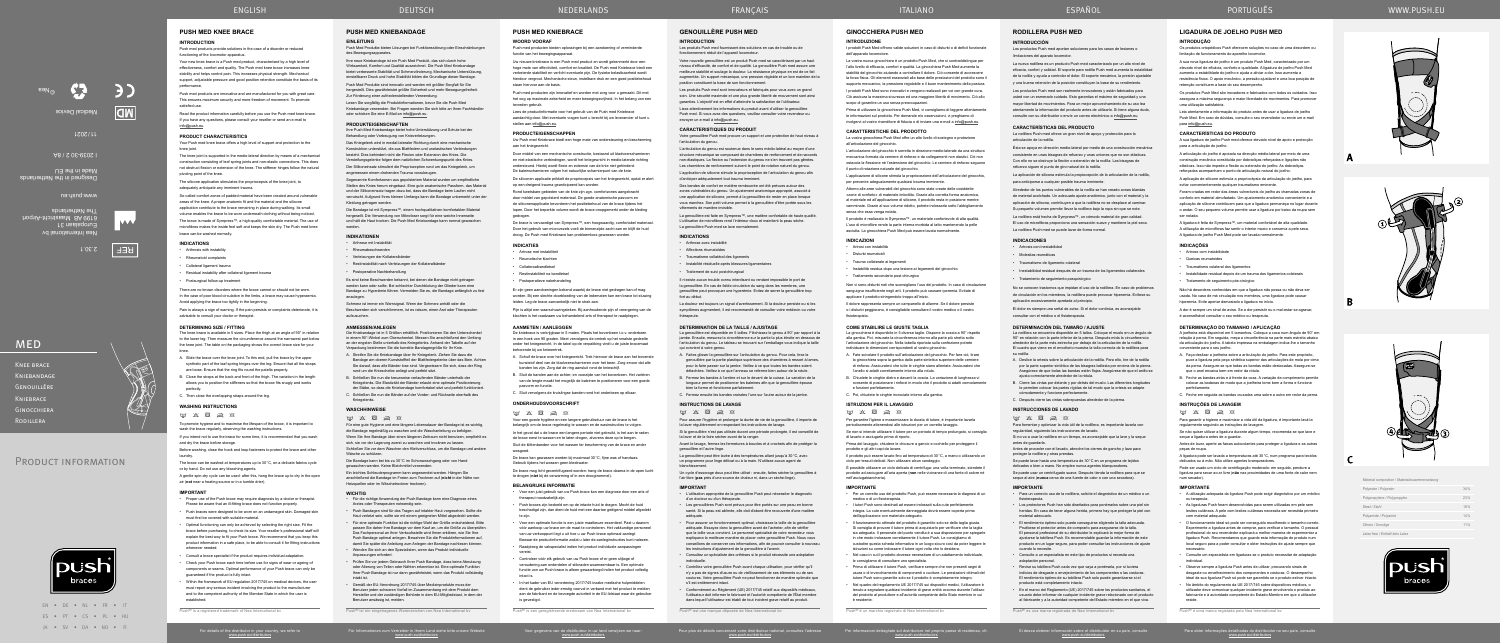EN • DE • NL • FR • IT

Für Informationen zum Vertreiber in Ihrem Land siehe bitte unsere Website www.push.eu/distributors

Voor gegevens van de distributeur in uw land verwijzen we naar: www.push.eu/distributors

Les produits Push med fournissent des solutions en cas de trouble ou de fonctionnement réduit de l'appareil locomoteu

Pour plus de détails concernant votre distributeur national, consultez l'adresse www.push.eu/distributors

Per informazioni dettagliate sul distributore nel proprio paese di residenza, cfr. www.push.eu/distributors

Si desea obtener información sobre el distribuidor en su país, consulte www.push.eu/distributors

Para obter informações detalhadas do distribuidor no seu país, consulte www.push.eu/distributors

# **GENOUILLÈRE PUSH MED**

# **INTRODUCTION**

Votre nouvelle genouillère est un produit Push med se caractérisant par un haut niveau d'efficacité, de confort et de qualité. La genouillère Push med assure une meilleure stabilité et soulage la douleur. La résistance physique en est de ce fait augmentée. Un support mécanique, une pression réglable et un bon maintien de la position constituent la base de son fonctionnement.

Les produits Push med sont innovateurs et fabriqués pour vous avec un grand soin. Une sécurité maximale et une plus grande liberté de mouvement sont ainsi garanties. L'objectif est en effet d'atteindre la satisfaction de l'utilisateur.

Lisez attentivement les informations du produit avant d'utiliser la genouillère Push med. Si vous avez des questions, veuillez consulter votre revendeur ou envoyer un e-mail à info@push.eu.

## **CARACTERISTIQUES DU PRODUIT**

La genouillère est disponible en 5 tailles. Fléchissez le genou à 90° par rapport à la jambe. Ensuite, mesurez la circonférence sur la partie la plus étroite en dessous de l'articulation du genou. Le tableau se trouvant sur l'emballage vous indique la taille qui convient à votre genou.

Votre genouillère Push med procure un support et une protection de haut niveau à l'articulation du genou.

L'articulation du genou est soutenue dans le sens médio-latéral au moyen d'une structure mécanique se composant de charnières de renforcement et de raccords non-élastiques. La flexion ou l'extension du genou ne s'en trouvent pas gênées. Les charnières de renforcement suivent le point de rotation naturel du genou.

Pour assurer l'hygiène et prolonger la durée de vie de la genouillère, il importe de la laver régulièrement en respectant les instructions de lava

L'application de silicone stimule la proprioception de l'articulation du genou afin d'anticiper adéquatement tout trauma imminent.

Des bandes de confort en matière rembourrée ont été prévues autour des zones vulnérables du genou. Un ajustement anatomique approprié, associé à une application de silicone, permet à la genouillère de rester en place lorsque vous marchez. Son petit volume permet à la genouillère d'être portée sous les vêtements de manière invisible.

Les genouillères Push sont prévus pour être portés sur une peau en bonne santé. Si la peau est abîmée, elle doit d'abord être recouverte d'une matière adéquate.

La genouillère est faite en Sympress™, une matière confortable de haute qualité. L'utilisation de microfibres rend l'intérieur doux et maintient la peau sèche. La genouillère Push med se lave normalement.

#### **INDICATIONS**

• Arthrose avec instabilité

• Affections rhumatoïdes

• Traumatisme collatéral des ligaments

• Instabilité résiduelle après blessures ligamentaires

• Contrôlez votre genouillère Push avant chaque utilisation, pour vérifier qu'il n'y a pas de signes d'usure ou de vieillissement de ses éléments ou de ses coutures. Votre genouillère Push ne peut fonctionner de manière optimale que s'il est entièrement intact

• Traitement de suivi postchirurgical

Il n'existe aucun trouble connu interdisant ou rendant impossible le port de la genouillère. En cas de faible circulation du sang dans les membres, une genouillère peut provoquer une hyperémie. Evitez de serrer la genouillère trop fort au début.

La douleur est toujours un signal d'avertissement. Si la douleur persiste ou si les symptômes augmentent, il est recommandé de consulter votre médecin ou votre thérapeute.

#### **DETERMINATION DE LA TAILLE / AJUSTAGE**

A. Faites glisser la genouillère sur l'articulation du genou. Pour cela, tirez la genouillère par la partie plastique supérieure des charnières à ressort à lames, pour la faire passer sur la jambe. Veillez à ce que toutes les bandes soient détachées. Veillez à ce que l'anneau se referme bien autour de la rotule.

B. Fermez les bandes à l'arrière et sur le devant de la cuisse. La variation de la longueur permet de positionner les baleines afin que la genouillère épouse bien la forme et fonctionne parfaitement.

C. Fermez ensuite les bandes croisées l'une sur l'autre autour de la jambe.

**INSTRUCTIONS DE LAVAGE**

# $\boxdot$   $\otimes$   $\boxdot$   $\otimes$

Si la genouillère n'est pas utilisée durant une période prolongée, il est conseillé de la laver et de la faire sécher avant de la ranger.

- Für die richtige Anwendung der Push Bandage kann eine Diagnose eines Arztes oder Therapeuten notwendig sein.
- Push Bandagen sind für das Tragen auf intakter Haut vorgesehen. Sollte die Haut verletzt sein, sollte sie mit einem geeigneten Mittel abgedeckt werden.
- Für eine optimale Funktion ist die richtige Wahl der Größe entscheidend. Bitte passen Sie daher Ihre Bandage vor dem Kauf an, um die Größe zu überprüfen. Das Fachpersonal an Ihrer Verkaufsstelle wird Ihnen erklären, wie Sie Ihre Push Bandage optimal anlegen. Bewahren Sie die Produktinformationen auf, damit Sie später die Anleitung zum Anlegen der Bandage nachlesen können.
- Wenden Sie sich an den Spezialisten, wenn das Produkt individuelle Anpassungen erfordert.
- 
- Prüfen Sie vor jedem Gebrauch Ihrer Push Bandage, dass keine Abnutzung oder Alterung von Teilen oder Nähten erkennbar ist. Eine optimale Funk Ihrer Push Bandage ist nur dann gewährleistet, wenn das Produkt vollständig intakt ist. • Gemäß der EU-Verordnung 2017/745 über Medizinprodukte muss der
- Benutzer jeden schweren Vorfall im Zusammenhang mit dem Produkt dem Hersteller und der zuständigen Behörde in dem EU-Mitgliedstaat, in dem der Benutzer ansässig ist, melden.

Avant le lavage, fermez les fermetures à boucles et à crochets afin de protéger la genouillère et l'autre linge.

# **EINLEITUNG** Push Med Produkte bieten Lösungen bei Funktionsstörung oder Einschränkungen

La genouillère peut être lavée à des températures allant jusqu'à 30°C, avec un programme pour linge délicat ou à la main. N'utilisez aucun agent de blanchissement.

Un cycle d'essorage doux peut être utilisé : ensuite, faites sécher la genouillère à l'air libre (**pas** près d'une source de chaleur ni, dans un sèche-linge).

# **IMPORTANT**

• L'utilisation appropriée de la genouillère Push peut nécessiter le diagnostic d'un docteur ou d'un thérapeute.

Das Kniegelenk wird in medial-lateraler Richtung durch eine mechanische Konstruktion unterstützt, die aus Blattfedern und unelastischen Verbindungen besteht. Dies behindert nicht die Flexion oder Extension des Knies. Die Versteifungsgelenke folgen dem natürlichen Schwenkungspunkt des Knies.

> • Pour assurer un fonctionnement optimal, choisissez la taille de la genouillère adéquate. Essayez donc la genouillère avant de l'acheter, afin de vérifier que la taille vous convient. Le personnel spécialisé de votre revendeur vous expliquera la meilleure manière de placer votre genouillère Push. Nous vous conseillons de conserver ces informations, afin de pouvoir consulter à nouveau

les instructions d'ajustement de la genouillère à l'avenir. • Consultez un spécialiste des orthèses si le produit nécessite une adaptation

individuelle.

Los productos Push med aportan soluciones para los casos de lesiones o limitaciones del aparato locomoto

• Conformément au Règlement (UE) 2017/745 relatif aux dispositifs médicaux, l'utilisateur doit informer le fabricant et l'autorité compétente de l'État membre dans lequel l'utilisateur est établi de tout incident grave relatif au produit.

Push® est une marque déposée de Nea International bv

#### **ANMESSEN/ANLEGEN**

Die Kniebandage ist in 5 Größen erhältlich. Positionieren Sie den Unterschenkel in einem 90°-Winkel zum Oberschenkel. Messen Sie anschließend den Umfang an der engsten Stelle unterhalb des Kniegelenks. Anhand der Tabelle auf der Verpackung bestimmen Sie die korrekte Bandagengröße für Ihr Knie.

- A. Streifen Sie die Kniebandage über Ihr Kniegelenk. Ziehen Sie dazu die Bandage am oberen Kunststoffteil der Blattfedergelenke über das Bein. Achten Sie darauf, dass alle Bänder lose sind. Vergewissern Sie sich, dass der Ring rund um die Kniescheibe anliegt und perfekt sitzt.
- B. Schließen Sie nun die kreuzweise verlaufenden Bänder unterhalb der Kniegelenks. Die Elastizität der Bänder erlaubt eine optimale Positionierung der Stäbe, so dass die Kniebandage komfortabel sitzt und perfekt funktionie
- C. Schließen Sie nun die Bänder auf der Vorder- und Rückseite oberhalb des Kniegelenks.

90° en relación con la parte inferior de la pierna. Después mida la circunferencia alrededor de la parte más estrecha por debajo de la articulación de la rodilla. El cuadro que viene en el envoltorio muestra la talla correcta de la rodillera para

# **WASCHHINWEISE**

 $\boxtimes \hspace{0.1cm} \boxtimes \hspace{0.1cm} \boxtimes \hspace{0.1cm} \boxtimes \hspace{0.1cm} \boxtimes \hspace{0.1cm} \boxtimes \hspace{0.1cm} \boxtimes$ 

Für eine gute Hygiene und eine längere Lebensdauer der Bandage ist es wichtig, die Bandage regelmäßig zu waschen und die Waschanleitung zu befolgen.

**INSTRUCCIONES DE LAVADO**  $\boxtimes \hspace{0.1cm} \boxtimes \hspace{0.1cm} \boxtimes \hspace{0.1cm} \boxtimes \hspace{0.1cm} \boxtimes \hspace{0.1cm} \boxtimes \hspace{0.1cm} \boxtimes$ 

Wenn Sie Ihre Bandage über einen längeren Zeitraum nicht benutzen, empfiehlt es sich, sie vor der Lagerung zuerst zu waschen und trocknen zu lassen. Schließen Sie vor dem Waschen den Klettverschluss, um die Bandage und andere

Wäsche zu schützen. Die Bandage kann bei bis zu 30°C im Schonwaschgang oder von Hand

gewaschen werden. Keine Bleichmittel verwenden.

Ein leichtes Schleuderprogramm kann angewendet werden. Hängen Sie anschließend die Bandage im Freien zum Trocknen auf (**nicht** in der Nähe von Heizquellen oder im Wäschetrockner trocknen).

#### **WICHTIG**

Push med products are innovative and are manufactured for you with great care. This ensures maximum security and more freedom of movement. To promote

Push® ist ein eingetragenes Warenzeichen von Nea International bv

**PUSH MED KNIEBANDAGE**

des Bewegungsapparates. Ihre neue Kniebandage ist ein Push Med Produkt, das sich durch hohe Wirksamkeit, Komfort und Qualität auszeichnet. Die Push Med Kniebandage bietet verbesserte Stabilität und Schmerzlinderung. Mechanische Unterstützung, einstellbarer Druck und hohe Stabilität bilden die Grundlage dieser Bandage. Push Med Produkte sind innovativ und werden mit größter Sorgfalt für Sie

There are no known disorders where the brace cannot or should not be worn. In the case of poor blood circulation in the limbs, a brace may cause hyperaemia.

hergestellt. Dies gewährleistet größte Sicherheit und mehr Bewegungsfreiheit. Zur Förderung einer zufriedenstellenden Verwendung.

are loose. Ensure that the ring fits round the patella properly. B. Close the straps at the back and front of the thigh. The variation in the length allows you to position the stiffeners so that the brace fits snugly and work

Lesen Sie sorgfältig die Produktinformationen, bevor Sie die Push Med Kniebandage verwenden. Bei Fragen wenden Sie sich bitte an Ihren Fachhändler oder schicken Sie eine E-Mail an info@push.eu.

# **PRODUKTEIGENSCHAFTEN**

**WASHING INSTRUCTIONS**  $M$   $X$   $\overline{R}$   $\rightarrow$   $\alpha$ 

and dry the brace before storage

Ihre Push Med Kniebandage bietet hohe Unterstützung und Schutz bei der Behandlung oder Vorbeugung von Knieverletzungen.

Der Silikoneinsatz stimuliert die Propriozeption rund um das Kniegelenk, um angemessen einem drohenden Trauma vorzubeugen.

Sogenannte Komfortzonen aus gepolstertem Material wurden um empfindliche Stellen des Knies herum eingebaut. Eine gute anatomische Passform, das Material und der Silikoneinsatz tragen dazu bei, dass die Bandage beim Laufen nicht verrutscht. Aufgrund Ihres kleinen Umfangs kann die Bandage unbemerkt unter der Kleidung getragen werden.

Die Bandage ist mit Sympress™, einem hochqualitativen komfortablen Material hergesellt. Die Verwendung von Mikrofaser sorgt für eine weiche Innenseite und hält die Haut trocken. Die Push Med Kniebandage kann normal gewaschen

werden.

# **INDIKATIONEN**

Uw nieuwe kniebrace is een Push med product en wordt gekenmerkt door een hoge mate van effectiviteit, comfort en kwaliteit. De Push med Kniebrace biedt een verbeterde stabiliteit en verlicht eventuele pijn. De fysieke belastbaarheid wordt hierdoor vergroot. Mechanische steun, instelbare druk en een goed positiebehoud staan hiervoor aan de basis.

- Arthrose mit Instabilität
- Rheumabeschwerden
- Verletzungen der Kollateralbänder
- Restinstabilität nach Verletzungen der Kollateralbände
- Postoperative Nachbehandlung

Lees de productinformatie voor het gebruik van de Push med Kniebrace aandachtig door. Met eventuele vragen kunt u terecht bij uw leverancier of kunt u stellen aan info@push.eu.

Es sind keine Beschwerden bekannt, bei denen die Bandage nicht getragen werden kann oder sollte. Bei schlechter Durchblutung der Glieder kann eine Bandage zu Hyperämie führen. Vermeiden Sie es, die Bandage anfänglich zu fest anzulegen.

Schmerz ist immer ein Warnsignal. Wenn der Schmerz anhält oder die Beschwerden sich verschlimmern, ist es ratsam, einen Arzt oder Therapeuten aufzusuchen.

# **RODILLERA PUSH MED**

## **INTRODUCCIÓN**

ITALIANO CONSTRUCTIVO ESPAÑOL

La nueva rodillera es un producto Push med caracterizado por un alto nivel de eficacia, confort y calidad. El soporte para rodilla Push med aumenta la estabilidad de la rodilla y ayuda a controlar el dolor. El soporte mecánico, la presión ajustable y una buena retención de la posición constituyen la base de su rendimiento.

Los productos Push med son realmente innovadores y están fabricados para usted con un esmerado cuidado. Esto garantiza el máximo de seguridad y una mayor libertad de movimientos. Para un mejor aprovechamiento de su uso lea atentamente la información del producto antes de utilizarlo. Si tiene alguna duda,

consulte con su distribuidor o envíe un correo electrónico a info@push.eu.

#### **CARACTERÍSTICAS DEL PRODUCTO**

La rodillera Push med ofrece un gran nivel de apoyo y protección para la articulación de la rodilla.

Ésta se apoya en dirección medio-lateral por medio de una construcción mecánica consistente en unas bisagras de refuerzo y unas uniones que no son elásticas. Con ello no se obstruye la flexión o extensión de la rodilla. Las bisagras de refuerzo siguen el punto de giro natural de la rodilla.

La aplicación de silicona estimula la propiocepción de la articulación de la rodilla, para anticiparse a cualquier posible trauma inminente.

Alrededor de los puntos vulnerables de la rodilla se han creado zonas blandas de material acolchado. Un adecuado ajuste anatómico, junto con el material y la aplicación de silicona, contribuyen a que la rodillera no se desplace al caminar. Su pequeño volumen permite llevar la rodillera bajo la ropa sin que se note. La rodillera está hecha de Sympress™, un cómodo material de gran calidad.

El uso de microfibras proporciona una sensación suave y mantiene la piel seca. La rodillera Push med se puede lavar de forma normal.

La vostra nuova ginocchiera è un prodotto Push Med, che si contraddistingue per l'alto livello di efficacia, comfort e qualità. La ginocchiera Push Med aumenta la stabilità del ginocchio aiutando a controllare il dolore. Ciò consente di accrescere la forza fisica. Gli elementi essenziali alla base delle prestazioni del prodotto sono i supporto meccanico, la pressione regolabile e il buon mantenimento della postura. I prodotti Push Med sono innovativi e vengono realizzati per voi con grande cura. Ciò assicura la massima sicurezza ed una maggiore libertà di movimento. Ciò allo scopo di garantire un uso senza preoccupazion

# **INDICACIONES**

• Artrosis con inestabilidad

- Molestias reumáticas
- Traumatismo de ligamento colateral
- Inestabilidad residual después de un trauma de los ligamentos colaterales • Tratamiento de seguimiento posquirúrgico
- 

No se conocen trastornos que impidan el uso de la rodillera. En caso de problemas de circulación en los miembros, la rodillera puede provocar hiperemia. Evítese su aplicación excesivamente apretada al principio.

El dolor es siempre una señal de aviso. Si el dolor continúa, es aconsejable consultar con el médico o el fisioterapeuta.

L'applicazione di silicone stimola la propriocezione dell'articolazione del ginocchio, per prevenire adequatamente qualsiasi trauma imminente

#### **DETERMINACIÓN DEL TAMAÑO / AJUSTE** La rodillera se encuentra disponible en 5 tallas. Coloque el muslo en un ángulo de

su rodilla.

A. Deslice la ortesis sobre la articulación de la rodilla. Para ello, tire de la rodilla por la parte superior sintética de las bisagras ballesta por encima de la pierna. Asegúrese de que todas las bandas estén flojas. Asegúrese de que el anillo se

ajusta correctamente alrededor de la rótula.

Il dolore rappresenta sempre un campanello di allarme. Se il dolore persiste o i disturbi peggiorano, è consigliabile consultare il vostro medico o il vostro fisioterapista.

> B. Cierre las cintas por delante y por detrás del muslo. Las diferentes longitudes le permiten colocar las partes rígidas de tal modo que la ortesis se adapte

cómodamente y funcione perfectamente. C. Después cierre las cintas sobrepuestas alrededor de la pierna.

Para fomentar y optimizar la vida útil de la rodillera, es importante lavarla con

regularidad, siguiendo las instrucciones de lavado.

Si no va a usar la rodillera en un tiempo, es aconsejable que la lave y la seque

# Per garantire l'igiene e massimizzare la durata di tutore, è importante lavarla eriodicamente attenendosi alle istruzioni per un corretto lavage

antes de guardarla.

Antes de proceder con el lavado, abroche los cierres de gancho y lazo para

proteger la rodillera y otras prendas.

Se puede lavar hasta una temperatura de 30°C en un programa de tejidos delicados o bien a mano. No emplee nunca agentes blanqueadores.

Se puede usar un centrifugado suave. Después tienda la rodillera para que se seque al aire (**nunca** cerca de una fuente de calor o con una secadora).

- Per un corretto uso del prodotto Push, può essere necessaria la diagnosi di un medico o di un fisioterapista.
- I tutori Push sono destinati ad essere indossati sulla cute perfettamente integra. La cute eventualmente danneggiata dovrà essere coperta prima dell'applicazione con materiale adeguato.
- Il funzionamento ottimale del prodotto è garantito solo se della taglia giusta. Si consiglia di provare il tutore prima di acquistarlo per verificare che la taglia sia adeguata. Il personale del punto vendita è a sua disposizione per spiegarle in che modo indossare correttamente il tutore Push. Le consigliamo di custodire questa scheda informativa in un luogo sicuro così da poter leggere le istruzioni su come indossare il tutore ogni volta che lo desidera.
- Nel caso in cui il prodotto dovesse necessitare di un adattamento individuale, le consigliamo di consultare uno specialista.
- Prima di utilizzare il tutore Push, verificare sempre che non presenti segni di usura o di invecchiamento di componenti o cuciture. Le prestazioni ottimali del tutore Push sono garantite solo se il prodotto è completamente integro

**IMPORTANTE**

• Para un correcto uso de la rodillera, solicite el diagnóstico de un médico o un

fisioterapeuta.

• Los protectores Push han sido diseñados para ponérselos sobre una piel sin heridas. En caso de tener alguna herida, primero hay que proteger la piel con

material adecuado.

• El rendimiento óptimo solo puede conseguirse eligiendo la talla adecuada. Pruébese el protector antes de comprarlo para asegurarse de la talla. El personal profesional de su distribuidor le explicará la mejor forma de ajustarse la tobillera Push. Es recomendable guardar la información de este producto en un lugar seguro, para poder consultar las instrucciones de ajuste

cuando lo necesite.

• Consulte a un especialista en este tipo de productos si necesita una

adaptación personal.

• Revise su tobillera Push cada vez que vaya a ponérsela, por si tuviera indicios de desgaste o envejecimiento de los componentes o las costuras. El rendimiento óptimo de su tobillera Push solo puede garantizarse si el

producto está completamente intacto.

• En el marco del Reglamento (UE) 2017/745 sobre los productos sanitarios, el usuario debe informar de cualquier incidente grave relacionado con el producto al fabricante y a la autoridad competente del Estado miembro en el que viva.

Push® es una marca registrada de Nea International bv

Knee brace Knifrandag Genouillère **KNIFBRACE** Ginocchiera Rodillera



# PRODUCT INFORMATION



**PUSH MED KNEE BRACE**

**INTRODUCTION**

Push med products provide solutions in the case of a disorder or reduced

functioning of the locomotor apparatus.

Your new knee brace is a Push med product, characterised by a high level of effectiveness, comfort and quality. The Push med knee brace increases knee stability and helps control pain. This increases physical strength. Mechanical support, adjustable pressure and good position retention constitute the basis of its

performance.

satisfied use.

Read the product information carefully before you use the Push med knee brace. If you have any questions, please consult your reseller or send an e-mail to

info@push.eu.

**PRODUCT CHARACTERISTICS**

adequately anticipate any imminent traum

Your Push med knee brace offers a high level of support and protection to the

**INSTRUÇÕES DE LAVAGEM**  $\boxdot$   $\otimes$   $\boxdot$   $\otimes$ 

knee joint.

# ENGLISH DEUTSCH

The knee joint is supported in the medio-lateral direction by means of a mechanical construction consisting of leaf spring joints and non-elastic connections. This does not obstruct flexion or extension of the knee. The stiffener hinges follow the natural

pivoting point of the knee.

The silicone application stimulates the propriocepsis of the knee joint, to

So-called comfort zones of padded material have been created around vulnerable areas of the knee. A proper anatomic fit and the material and the silicone application contribute to the brace remaining in place during walking. Its small volume enables the brace to be worn underneath clothing without being noticed. The brace is made of Sympress™, a high-quality comfortable material. The use of microfibres makes the inside feel soft and keeps the skin dry. The Push med knee

brace can be washed normally.

For details of the distributor in your country, we refer to<br>www.push.eu/distributors

**INDICATIONS**

• Rheumatoid complaints • Collateral ligament trauma

• Residual instability after collateral ligament trauma

• Postsurgical follow-up treatment

Avoid applying the brace too tightly in the beginning.

Pain is always a sign of warning. If the pain persists or complaints deteriorate, it is

advisable to consult your doctor or therapist. **DETERMINING SIZE / FITTING**

The knee brace is available in 5 sizes. Place the thigh at an angle of 90° in relation to the lower leg. Then measure the circumference around the narrowest part below the knee joint. The table on the packaging shows the correct brace size for your

knee.

A. Slide the brace over the knee joint. To this end, pull the brace by the upper synthetic part of the leaf spring hinges over the leg. Ensure that all the straps

perfectly.

C. Then close the overlapping straps around the leg.

To promote hygiene and to maximise the lifespan of the brace, it is important to

wash the brace regularly, observing the washing instructions.

If you intend not to use the brace for some time, it is recommended that you wash

Before washing, close the hook and loop fasteners to protect the brace and other

laundry.

The brace can be washed at temperatures up to 30°C, on a delicate fabrics cycle

or by hand. Do not use any bleaching agents.

A gentle spin-dry cycle can be used: after this, hang the brace up to dry in the open

air (**not** near a heating source or in a tumble drier).

**IMPORTANT**

whenever needed

• Proper use of the Push brace may require diagnosis by a doctor or therapist. Please be aware that an ill-fitting brace does not function properly. • Push braces were designed to be worn on an undamaged skin. Damaged skin

must first be covered with suitable material.

• Optimal functioning can only be achieved by selecting the right size. Fit the brace before purchasing, to check its size. Your reseller's professional staff will explain the best way to fit your Push brace. We recommend that you keep this product information in a safe place, to be able to consult it for fitting instructions

• Consult a brace specialist if the product requires individual adaptation. • Check your Push brace each time before use for signs of wear or ageing of components or seams. Optimal performance of your Push brace can only be

guaranteed if the product is fully intact.

• Within the framework of EU regulation 2017/745 on medical devices, the user must report any serious incident involving the product to the manufacturer and to the competent authority of the Member State in which the user is

established.

Arthrosis with instabilit

Push® is a registered trademark of Nea International bv

# **PUSH MED KNIEBRACE**

#### **WOORD VOORAF** Push med producten bieden oplossingen bij een aandoening of verminderde functie van het bewegingsapparaat.

Push med producten zijn innovatief en worden met zorg voor u gemaakt. Dit met het oog op maximale zekerheid en meer bewegingsvrijheid. In het belang van een tevreden gebruik.

#### **PRODUCTEIGENSCHAPPEN**

Uw Push med Kniebrace biedt een hoge mate van ondersteuning en bescherming aan het kniegewricht.

Door middel van een mechanische constructie, bestaand uit bladveerscharnieren en niet-elastische verbindingen, wordt het kniegewricht in medio-laterale richting ondersteund. Hierbij wordt flexie en extensie van de knie niet gehinderd. De baleinscharnieren volgen het natuurlijke scharnierpunt van de knie.

De siliconen applicatie prikkelt de propriocepsis van het kniegewricht, opdat er alert op een dreigend trauma geanticipeerd kan worden.

Rond kwetsbare gebieden van de knie zijn zgn. comfortzones aangebracht door middel van gepolsterd materiaal. De goede anatomische pasvorm en de siliconenapplicatie bevorderen het positiebehoud van de brace tijdens het lopen. Door het beperkte volume wordt de brace onopgemerkt onder de kleding gedragen.

De brace is vervaardigd van Sympress™, een hoogwaardig, comfortabel materiaal. Door het gebruik van microvezels voelt de binnenzijde zacht aan en blijft de huid droog. De Push med Kniebrace kan probleemloos gewassen worden.

# **INDICATIES**

- Artrose met instabiliteit
- Reumatische klachten
- Collateraalbandletsel
- Restinstabiliteit na bandletsel
- Postoperatieve nabehandeling

Er zijn geen aandoeningen bekend waarbij de brace niet gedragen kan of mag worden. Bij een slechte doorbloeding van de ledematen kan een brace tot stuwing leiden. Leg de brace aanvankelijk niet te strak aan.

Pijn is altijd een waarschuwingsteken. Bij aanhoudende pijn of verergering van de klachten is het raadzaam uw behandelend arts of therapeut te raadplegen.

## **AANMETEN / AANLEGGEN**

De kniebrace is verkrijgbaar in 5 maten. Plaats het bovenbeen t.o.v. onderbeen in een hoek van 90 graden. Meet vervolgens de omtrek op het smalste gedeelte onder het kniegewricht. In de tabel op de verpakking vindt u de juiste bracemaat behorende bij uw knieomtrek.

- A. Schuif de brace over het kniegewricht. Trek hiervoor de brace aan het bovenste kunststof deel van de bladveerscharnieren over het been. Zorg ervoor dat alle banden los zijn. Zorg dat de ring aansluit rond de knieschijf.
- B. Sluit de banden aan de achter- en voorzijde van het bovenbeen. Het variëren van de lengte maakt het mogelijk de baleinen te positioneren voor een goede pasvorm en functie.

C. Sluit vervolgens de kruislingse banden rond het onderbeen op elkaar

# **ONDERHOUDSVOORSCHRIFT**

# $\boxtimes$   $\boxtimes$   $\boxtimes$   $\boxtimes$

Voor een goede hygiëne en een langere gebruiksduur van de brace is het belangrijk om de brace regelmatig te wassen en de wasinstructies te volgen.

In het geval dat u de brace een langere periode niet gebruikt, is het aan te raden de brace eerst te wassen en te laten drogen, alvorens deze op te bergen. Sluit de klittenbanden voor het wassen ter bescherming van de brace en ander

wasgoed. De brace kan gewassen worden bij maximaal 30°C, fijne was of handwas.

Gebruik tijdens het wassen geen bleekwater.

De brace mag licht gecentrifugeerd worden: hang de brace daarna in de open lucht te drogen (**niet** bij de verwarming of in een droogtrommel).

## **BELANGRIJKE INFORMATIE**

- Voor een juist gebruik van uw Push brace kan een diagnose door een arts of therapeut noodzakelijk zijn.
- Push braces zijn bedoeld om op de intacte huid te dragen. Mocht de huid beschadigd zijn, dan dient de huid met een daartoe geëigend middel afgedek te zijn.
- Voor een optimale functie is een juiste maatkeuze essentieel. Past u daarom vóór aankoop uw brace om de maat te controleren. Het vakkundige personeel van uw verkooppunt legt u uit hoe u uw Push brace optimaal aanlegt.
- Bewaar de productinformatie zodat u later de aanleginstructies kunt nalezen. • Raadpleeg de vakspecialist indien het product individuele aanpassingen vereist.
- Controleer vóór elk gebruik van uw Push brace of er geen slijtage of veroudering aan onderdelen of stiknaden waarneembaar is. Een optimale functie van uw Push brace is alleen gewaarborgd indien het product volledig intact is.
- In het kader van EU verordening 2017/745 inzake medische hulpmiddelen dient de gebruiker ieder ernstig voorval in verband met het product te melden aan de fabrikant en de bevoegde autoriteit in de EU-lidstaat waar de gebruiker is gevestigd.

Push® is een geregistreerde merknaam van Nea International bv

# **GINOCCHIERA PUSH MED**

# **INTRODUZIONE**

I prodotti Push Med offrono valide soluzioni in caso di disturbi o di deficit funzionale dell'apparato locomotore.

Prima di utilizzare la ginocchiera Push Med, vi consigliamo di leggere attentamente le informazioni sul prodotto. Per domande e/o osservazioni, vi preghiamo di rivolgervi al vostro rivenditore di fiducia o di inviare una e-mail a info@push.eu.

# **CARATTERISTICHE DEL PRODOTTO**

La vostra ginocchiera Push Med offre un alto livello di sostegno e protezione all'articolazione del ginocchio.

L'articolazione del ginocchio è sorretta in direzione medio-laterale da una struttura meccanica formata da cerniere di rinforzo e da collegamenti non elastici. Ciò non ostacola la flessione né l'estensione del ginocchio. Le cerniere di rinforzo seguono il punto di rotazione naturale del ginocchio.

Attorno alle aree vulnerabili del ginocchio sono state create delle cosiddette «zone di conforto» di materiale imbottito. Grazie alla corretta forma anatomica al materiale ed all'applicazione di silicone, il prodotto resta in posizione mentre camminate. Grazie al suo volume ridotto, potrete indossarla sotto l'abbigliamento senza che essa venga notata.

Il prodotto è realizzato in Sympress™, un materiale confortevole di alta qualità. L'uso di microfibre rende la parte interna morbida al tatto mantenendo la pelle asciutta. La ginocchiera Push Med può essere lavata normalmente.

# **INDICAZIONI**

• Artrosi con instabilità

- Disturbi reumatoidi
- Trauma collaterale ai legamenti
- Instabilità residua dopo una lesione ai legamenti del ginocchio
- Trattamento secondario post-chirurgico

Non vi sono disturbi noti che sconsigliano l'uso del prodotto. In caso di circolazione sanguigna insufficiente negli arti, il prodotto può causare iperemia. Evitate di applicare il prodotto stringendolo troppo all'inizio.

# **COME STABILIRE LE GIUSTE TAGLIA**

La ginocchiera è disponibile in 5 diverse taglie. Disporre la coscia a 90° rispetto alla gamba. Poi, misurate la circonferenza intorno alla parte più stretta sotto l'articolazione del ginocchio. Nella tabella riportata sulla confezione potrete individuare le dimensioni corrispondenti al vostro ginocchio.

A. Fate scivolare il prodotto sull'articolazione del ginocchio. Per fare ciò, tirare la ginocchiera sopra la gamba dalla parte sintetica superiore delle cerniere di rinforzo. Assicuratevi che tutte le cinghie siano allentate. Assicuratevi che l'anello si adatti correttamente intorno alla rotula.

B. Chiudete le cinghie dietro e davanti la coscia. La variazione di lunghezza vi

- consente di posizionare i rinforzi in modo che il prodotto si adatti comodamente e funzioni perfettamente.
- C. Poi, chiudete le cinghie incrociate intorno alla gamba.

# **ISTRUZIONI PER IL LAVAGGIO**

 $\boxtimes$   $\boxtimes$   $\boxtimes$   $\boxtimes$ 

Se non si intende utilizzare il tutore per un periodo di tempo prolungato, si consiglia di lavarlo e asciugarlo prima di riporlo.

Prima del lavaggio, chiudere le chiusure a gancio e occhiello per proteggere il prodotto e gli altri capi da lavare.

Il prodotto può essere lavato fino ad temperatura di 30°C, a mano o utilizzando un ciclo per tessuti delicati. Non utilizzare alcun candeggio.

È possibile utilizzare un ciclo delicato di centrifuga: una volta terminato, stendete il prodotto ad asciugare all'aria aperta (**non** nelle vicinanze di una fonte di calore né nell'asciugabiancheria).

#### **IMPORTANTE**

• Nel quadro del regolamento UE 2017/745 sui dispositivi medici, l'utilizzatore è tenuto a segnalare qualsiasi incidente di grave entità occorso durante l'utilizzo del prodotto al produttore e all'autorità competente dello Stato membro in cui

è residente.

Push® è un marchio registrato di Nea International bv

WWW.PUSH.EU

A



**LIGADURA DE JOELHO PUSH MED**

**INTRODUÇÃO**

Os produtos ortopédicos Push oferecem soluções no caso de uma desordem ou

limitação de funcionamento do aparelho locomotor.

A sua nova ligadura de joelho é um produto Push Med, caracterizado por um elevado nível de eficácia, conforto e qualidade. A ligadura de joelho Push Med aumenta a estabilidade do joelho e ajuda a aliviar a dor. Isso aumenta a resistência física. O apoio mecânico, a pressão ajustável e uma boa posição de

retenção constituem a base do seu desempenho.

Os produtos Push Med são inovadores e fabricados com todos os cuidados. Isso assegura a máxima segurança e maior liberdade de movimentos. Para promover

uma utilização satisfatória.

Leia atentamente a informação do produto antes de usar a ligadura de joelho Push Med. Em caso de dúvidas, consulte o seu revendedor ou envie um e-mail

para info@push.eu.

**CARACTERÍSTICAS DO PRODUTO**

evitar convenientemente qualquer traumatismo eminente

A sua ligadura de joelho Push med oferece elevado nível de apoio e protecção

para a articulação do joelho.

A articulação do joelho é apoiada na direcção médio-lateral por meio de uma construção mecânica constituída por dobradiças reforçadas e ligações não elásticas. Isso não impede a flexão ou extensão do joelho. As dobradiças reforçadas acompanham o ponto de articulação natural do joelh A aplicação de silicone estimula a propriocépsia da articulação do joelho, para

Foram criadas em redor das áreas vulneráveis do joelho as chamadas zonas de conforto em material almofadado. Um ajustamento anatómico conveniente e a aplicação de silicone contribuem para que a ligadura permaneça no lugar durante o andar. O seu pequeno volume permite usar a ligadura por baixo da roupa sem

ser notada.

A ligadura é feita de Sympress™, um material confortável de alta qualidade. A utilização de microfibras faz sentir o interior macio e conserva a pele seca. A ligadura de joelho Push Med pode ser lavada normalmente.

**INDICAÇÕES** • Artrose com instabilidade • Queixas reumatoides

• Traumatismo colateral dos ligamentos

• Instabilidade residual depois de um trauma dos ligamentos colaterais

• Tratamento de seguimento pós-cirúrgico

Não há desordens conhecidas em que a ligadura não possa ou não deva ser usada. No caso de má circulação nos membros, uma ligadura pode causar

A dor é sempre um sinal de aviso. Se a dor persistir ou o mal-estar se agravar

hiperemia. Evite apertar demasiado a ligadura no início.

é aconselhável consultar o seu médico ou terapeuta. **DETERMINAÇÃO DO TAMANHO / APLICAÇÃO**

A joelheira está disponível em 5 tamanhos. Coloque a coxa num ângulo de 90° em relação à perna. Em seguida, meça a circunferência na parte mais estreita abaixo da articulação do joelho. A tabela impressa na embalagem indica-lhe o tamanho

conveniente para o seu joelho.

A. Faça deslizar a joelheira sobre a articulação do joelho. Para este propósito, puxe a ligadura pela peça sintética superior das articulações de mola por cima da perna. Assegure-se que todas as bandas estão destacadas. Assegure-se

que o anel encaixa bem em redor da rótula.

regularmente seguindo as instruções de lavage

B. Feche as bandas atrás e à frente da coxa. A variação de comprimento permite colocar as badanas de modo que a joelheira tome bem a forma e funcione

perfeitamente.

C. Feche em seguida as bandas cruzadas uma sobre a outra em redor da perna.

Para garantir a higiene e maximizar a vida útil da ligadura, é importante lavá-la

Se não quiser utilizar a ligadura durante algum tempo, recomenda-se que lave e

seque a ligadura antes de a guardar.

Antes de lavar, aperte as faixas autocolantes para proteger a ligadura e as outras

peças de roupa.

A ligadura pode ser lavada a temperaturas até 30°C, num programa para tecidos

delicados ou à mão. Não utilize agentes branqueadores.

Pode ser usado um ciclo de centrifugação moderado: em seguida, pendure a ligadura para secar ao ar livre (**não** nas proximidades de uma fonte de calor nem

num secador). **IMPORTANTE**

• A utilização adequada da ligadura Push pode exigir diagnóstico por um médico

ou terapeuta.

• As ligaduras Push foram desenvolvidas para serem utilizadas em pele sem lesões cutâneas. A pele com lesões cutâneas necessita ser revestida primeiro

• O funcionamento ideal só pode ser conseguido escolhendo o tamanho correto. Experimente a ligadura antes de comprar, para verificar o tamanho. O pessoal profissional do seu revendedor explicará a melhor maneira de experimentar a ligadura Push. Recomendamos que guarde esta informação do produto num local seguro para a poder consultar e obter instruções de ajuste sempre que

necessário.

• Consulte um especialista em ligaduras se o produto necessitar de adaptação

individual.

• Observe sempre a ligadura Push antes de utilizar, procurando sinais de desgaste ou envelhecimento dos componentes e costuras. O desempenho ideal da sua ligadura Push só pode ser garantido se o produto estiver intacto • No âmbito do regulamento da UE 2017/745 sobre dispositivos médicos, o utilizador deve comunicar qualquer incidente grave envolvendo o produto ao fabricante e à autoridade competente do Estado-Membro em que o utilizador

reside.

com material adequado.

Push® é uma marca registada pela Nea International bv

PORTUGUÊS

2.30.1

# **MED**

Nea International bv Europalaan 31 6199 AB Maastricht-Airport The Netherlands



**REF** 

Designed in the Netherlands Made in the EU

I 2039-30 2 / 8A

2021 / 11